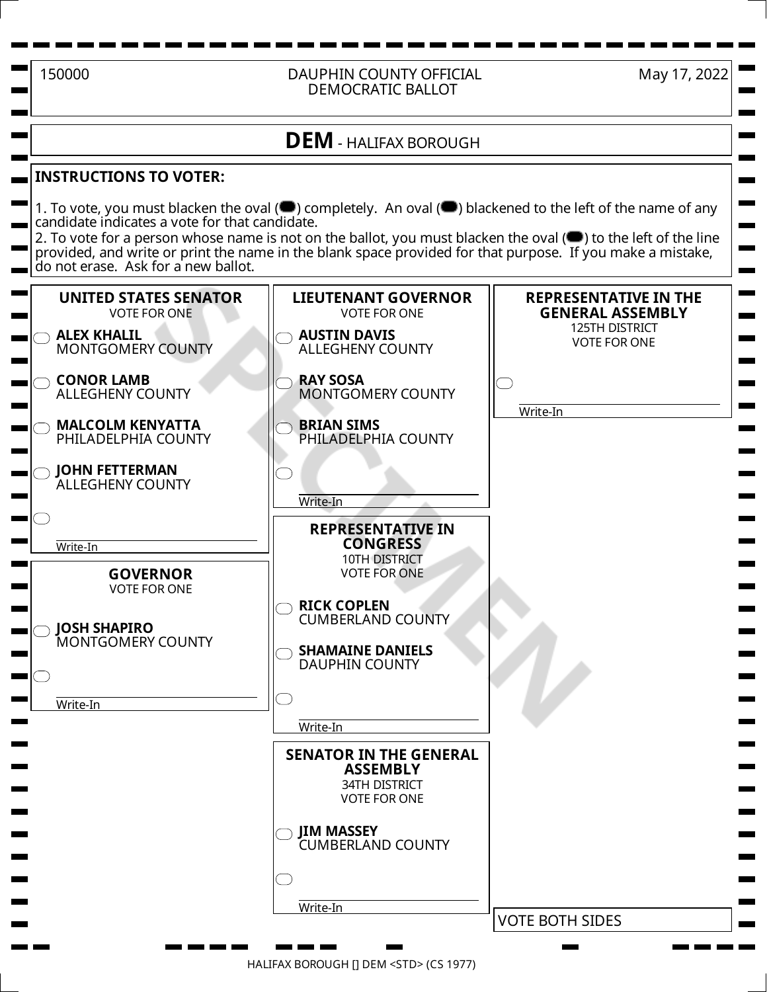## 150000 DAUPHIN COUNTY OFFICIAL DEMOCRATIC BALLOT

May 17, 2022

## **DEM** - HALIFAX BOROUGH

## **INSTRUCTIONS TO VOTER:**

1. To vote, you must blacken the oval (C) completely. An oval (C) blackened to the left of the name of any candidate indicates a vote for that candidate.

2. To vote for a person whose name is not on the ballot, you must blacken the oval  $(\blacksquare)$  to the left of the line provided, and write or print the name in the blank space provided for that purpose. If you make a mistake, do not erase. Ask for a new ballot.